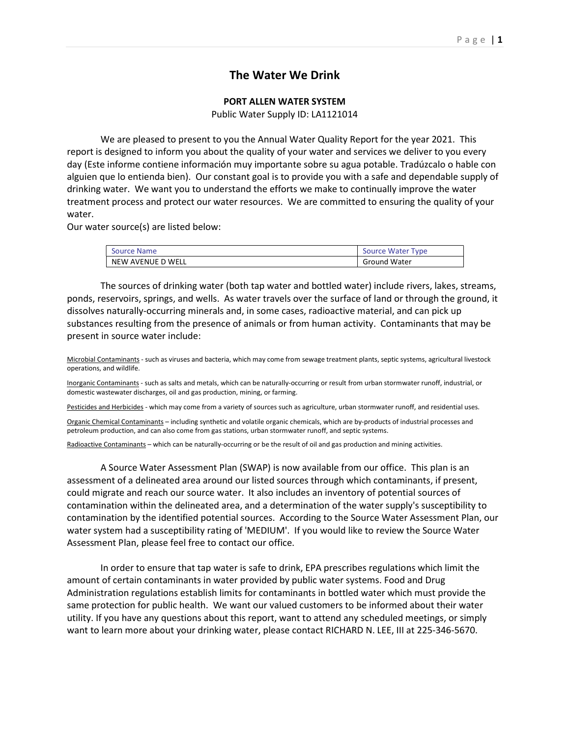## The Water We Drink

## PORT ALLEN WATER SYSTEM

Public Water Supply ID: LA1121014

 We are pleased to present to you the Annual Water Quality Report for the year 2021. This report is designed to inform you about the quality of your water and services we deliver to you every day (Este informe contiene información muy importante sobre su agua potable. Tradúzcalo o hable con alguien que lo entienda bien). Our constant goal is to provide you with a safe and dependable supply of drinking water. We want you to understand the efforts we make to continually improve the water treatment process and protect our water resources. We are committed to ensuring the quality of your water.

Our water source(s) are listed below:

| Source Name       | Source Water Type   |
|-------------------|---------------------|
| NEW AVENUE D WELL | <b>Ground Water</b> |

 The sources of drinking water (both tap water and bottled water) include rivers, lakes, streams, ponds, reservoirs, springs, and wells. As water travels over the surface of land or through the ground, it dissolves naturally-occurring minerals and, in some cases, radioactive material, and can pick up substances resulting from the presence of animals or from human activity. Contaminants that may be present in source water include:

Microbial Contaminants - such as viruses and bacteria, which may come from sewage treatment plants, septic systems, agricultural livestock operations, and wildlife.

Inorganic Contaminants - such as salts and metals, which can be naturally-occurring or result from urban stormwater runoff, industrial, or domestic wastewater discharges, oil and gas production, mining, or farming.

Pesticides and Herbicides - which may come from a variety of sources such as agriculture, urban stormwater runoff, and residential uses.

Organic Chemical Contaminants – including synthetic and volatile organic chemicals, which are by-products of industrial processes and petroleum production, and can also come from gas stations, urban stormwater runoff, and septic systems.

Radioactive Contaminants – which can be naturally-occurring or be the result of oil and gas production and mining activities.

 A Source Water Assessment Plan (SWAP) is now available from our office. This plan is an assessment of a delineated area around our listed sources through which contaminants, if present, could migrate and reach our source water. It also includes an inventory of potential sources of contamination within the delineated area, and a determination of the water supply's susceptibility to contamination by the identified potential sources. According to the Source Water Assessment Plan, our water system had a susceptibility rating of 'MEDIUM'. If you would like to review the Source Water Assessment Plan, please feel free to contact our office.

 In order to ensure that tap water is safe to drink, EPA prescribes regulations which limit the amount of certain contaminants in water provided by public water systems. Food and Drug Administration regulations establish limits for contaminants in bottled water which must provide the same protection for public health. We want our valued customers to be informed about their water utility. If you have any questions about this report, want to attend any scheduled meetings, or simply want to learn more about your drinking water, please contact RICHARD N. LEE, III at 225-346-5670.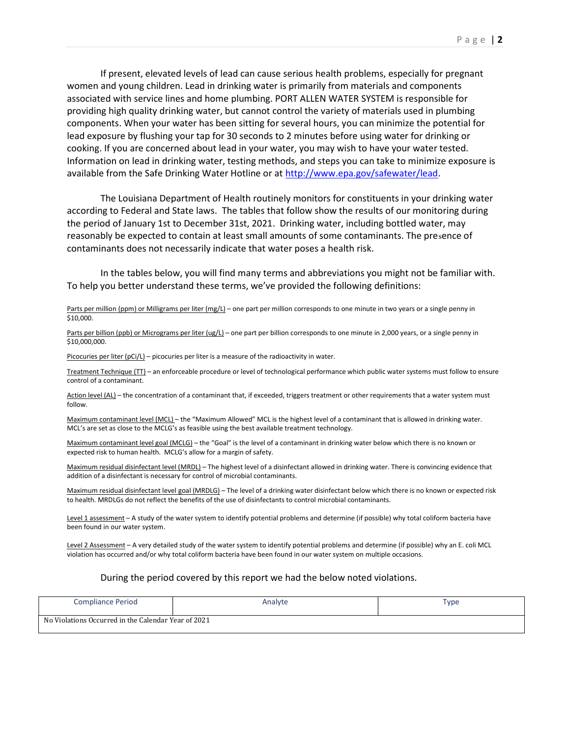If present, elevated levels of lead can cause serious health problems, especially for pregnant women and young children. Lead in drinking water is primarily from materials and components associated with service lines and home plumbing. PORT ALLEN WATER SYSTEM is responsible for providing high quality drinking water, but cannot control the variety of materials used in plumbing components. When your water has been sitting for several hours, you can minimize the potential for lead exposure by flushing your tap for 30 seconds to 2 minutes before using water for drinking or cooking. If you are concerned about lead in your water, you may wish to have your water tested. Information on lead in drinking water, testing methods, and steps you can take to minimize exposure is available from the Safe Drinking Water Hotline or at http://www.epa.gov/safewater/lead.

 The Louisiana Department of Health routinely monitors for constituents in your drinking water according to Federal and State laws. The tables that follow show the results of our monitoring during the period of January 1st to December 31st, 2021. Drinking water, including bottled water, may reasonably be expected to contain at least small amounts of some contaminants. The presence of contaminants does not necessarily indicate that water poses a health risk.

 In the tables below, you will find many terms and abbreviations you might not be familiar with. To help you better understand these terms, we've provided the following definitions:

Parts per million (ppm) or Milligrams per liter (mg/L) – one part per million corresponds to one minute in two years or a single penny in \$10,000.

Parts per billion (ppb) or Micrograms per liter (ug/L) - one part per billion corresponds to one minute in 2,000 years, or a single penny in \$10,000,000.

Picocuries per liter ( $pCi/L$ ) – picocuries per liter is a measure of the radioactivity in water.

Treatment Technique (TT) - an enforceable procedure or level of technological performance which public water systems must follow to ensure control of a contaminant.

Action level (AL) – the concentration of a contaminant that, if exceeded, triggers treatment or other requirements that a water system must follow.

Maximum contaminant level (MCL) – the "Maximum Allowed" MCL is the highest level of a contaminant that is allowed in drinking water. MCL's are set as close to the MCLG's as feasible using the best available treatment technology.

Maximum contaminant level goal (MCLG) – the "Goal" is the level of a contaminant in drinking water below which there is no known or expected risk to human health. MCLG's allow for a margin of safety.

Maximum residual disinfectant level (MRDL) – The highest level of a disinfectant allowed in drinking water. There is convincing evidence that addition of a disinfectant is necessary for control of microbial contaminants.

Maximum residual disinfectant level goal (MRDLG) – The level of a drinking water disinfectant below which there is no known or expected risk to health. MRDLGs do not reflect the benefits of the use of disinfectants to control microbial contaminants.

Level 1 assessment - A study of the water system to identify potential problems and determine (if possible) why total coliform bacteria have been found in our water system.

Level 2 Assessment - A very detailed study of the water system to identify potential problems and determine (if possible) why an E. coli MCL violation has occurred and/or why total coliform bacteria have been found in our water system on multiple occasions.

## During the period covered by this report we had the below noted violations.

| <b>Compliance Period</b>                            | Analyte | ype |
|-----------------------------------------------------|---------|-----|
| No Violations Occurred in the Calendar Year of 2021 |         |     |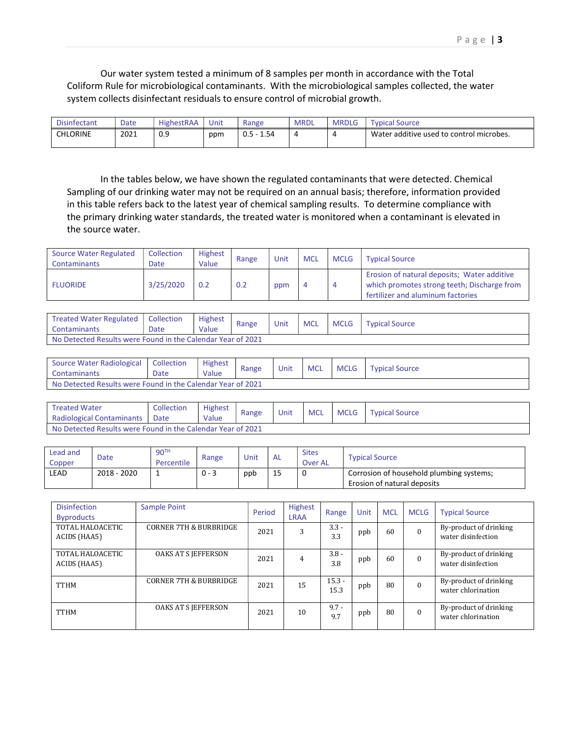Our water system tested a minimum of 8 samples per month in accordance with the Total Coliform Rule for microbiological contaminants. With the microbiological samples collected, the water system collects disinfectant residuals to ensure control of microbial growth.

| <b>Disinfectant</b> | Date | <b>HighestRAA</b> | Unit | Range        | <b>MRDL</b> | <b>MRDLG</b> | Tvpical Source                           |
|---------------------|------|-------------------|------|--------------|-------------|--------------|------------------------------------------|
| <b>CHLORINE</b>     | 2021 | 0.9               | ppm  | $0.5 - 1.54$ |             |              | Water additive used to control microbes. |

 In the tables below, we have shown the regulated contaminants that were detected. Chemical Sampling of our drinking water may not be required on an annual basis; therefore, information provided in this table refers back to the latest year of chemical sampling results. To determine compliance with the primary drinking water standards, the treated water is monitored when a contaminant is elevated in the source water.

| <b>Source Water Regulated</b><br><b>Contaminants</b> | Collection<br>Date | Highest<br>Value | Range | Unit | <b>MCL</b> | <b>MCLG</b> | <b>Typical Source</b>                                                                                                           |
|------------------------------------------------------|--------------------|------------------|-------|------|------------|-------------|---------------------------------------------------------------------------------------------------------------------------------|
| <b>FLUORIDE</b>                                      | 3/25/2020          | 0.2              | 0.2   | ppm  |            | -4          | Erosion of natural deposits; Water additive<br>which promotes strong teeth; Discharge from<br>fertilizer and aluminum factories |

| Treated Water Regulated   Collection<br>Contaminants        | Date | <b>Highest</b><br>Value | Range | Unit | <b>MCL</b> | <b>MCLG</b> | <b>Typical Source</b> |  |
|-------------------------------------------------------------|------|-------------------------|-------|------|------------|-------------|-----------------------|--|
| No Detected Results were Found in the Calendar Year of 2021 |      |                         |       |      |            |             |                       |  |

| Source Water Radiological<br><b>Contaminants</b>            | Collection<br>Date | <b>Highest</b><br>Value | Range | Unit | <b>MCL</b> | <b>MCLG</b> | <b>Typical Source</b> |  |  |
|-------------------------------------------------------------|--------------------|-------------------------|-------|------|------------|-------------|-----------------------|--|--|
| No Detected Results were Found in the Calendar Year of 2021 |                    |                         |       |      |            |             |                       |  |  |

| <b>Treated Water</b><br><b>Radiological Contaminants</b>    | Collection<br>Date | <b>Highest</b><br>Value | Range | Unit | <b>MCL</b> | MCLG | <b>Typical Source</b> |
|-------------------------------------------------------------|--------------------|-------------------------|-------|------|------------|------|-----------------------|
| No Detected Results were Found in the Calendar Year of 2021 |                    |                         |       |      |            |      |                       |

| Lead and<br>Copper | Date        | 90 <sup>TH</sup><br>Percentile | Range   | Unit | ' AL | <b>Sites</b><br>Over AL | <b>Typical Source</b>                                                   |
|--------------------|-------------|--------------------------------|---------|------|------|-------------------------|-------------------------------------------------------------------------|
| LEAD               | 2018 - 2020 |                                | $0 - 3$ | ppb  | 15   | 0                       | Corrosion of household plumbing systems;<br>Erosion of natural deposits |

| <b>Disinfection</b><br><b>Byproducts</b> | Sample Point               | Period | <b>Highest</b><br><b>LRAA</b> | Range            | Unit | <b>MCL</b> | <b>MCLG</b> | <b>Typical Source</b>                        |
|------------------------------------------|----------------------------|--------|-------------------------------|------------------|------|------------|-------------|----------------------------------------------|
| TOTAL HALOACETIC<br>ACIDS (HAA5)         | CORNER 7TH & BURBRIDGE     | 2021   | 3                             | $3.3 -$<br>3.3   | ppb  | 60         | $\Omega$    | By-product of drinking<br>water disinfection |
| TOTAL HALOACETIC<br>ACIDS (HAA5)         | <b>OAKS AT S JEFFERSON</b> | 2021   | 4                             | $3.8 -$<br>3.8   | ppb  | 60         | $\Omega$    | By-product of drinking<br>water disinfection |
| <b>TTHM</b>                              | CORNER 7TH & BURBRIDGE     | 2021   | 15                            | $15.3 -$<br>15.3 | ppb  | 80         | $\Omega$    | By-product of drinking<br>water chlorination |
| <b>TTHM</b>                              | OAKS AT S JEFFERSON        | 2021   | 10                            | $9.7 -$<br>9.7   | ppb  | 80         | $\Omega$    | By-product of drinking<br>water chlorination |